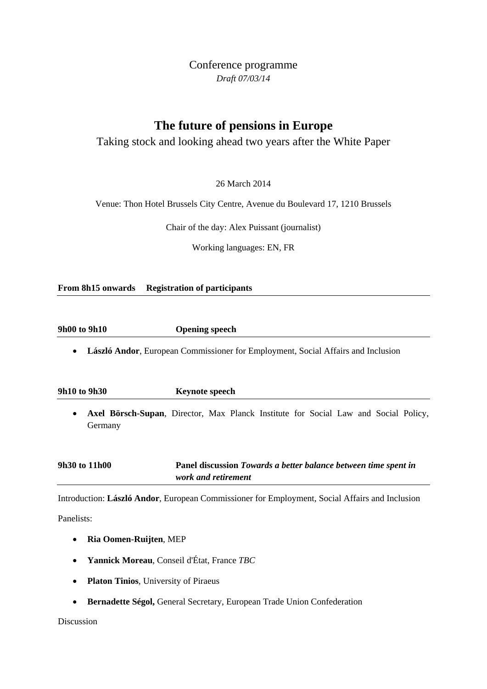Conference programme *Draft 07/03/14*

# **The future of pensions in Europe**

## Taking stock and looking ahead two years after the White Paper

26 March 2014

Venue: Thon Hotel Brussels City Centre, Avenue du Boulevard 17, 1210 Brussels

Chair of the day: Alex Puissant (journalist)

Working languages: EN, FR

**From 8h15 onwards Registration of participants**

**9h00 to 9h10 Opening speech** 

• **László Andor**, European Commissioner for Employment, Social Affairs and Inclusion

**9h10 to 9h30 Keynote speech** 

• **Axel Börsch-Supan**, Director, Max Planck Institute for Social Law and Social Policy, Germany

| 9h30 to 11h00 | Panel discussion Towards a better balance between time spent in |
|---------------|-----------------------------------------------------------------|
|               | work and retirement                                             |

Introduction: **László Andor**, European Commissioner for Employment, Social Affairs and Inclusion

Panelists:

- **Ria Oomen-Ruijten**, MEP
- **Yannick Moreau**, Conseil d'État, France *TBC*
- **Platon Tinios**, University of Piraeus
- **Bernadette Ségol,** General Secretary, European Trade Union Confederation

Discussion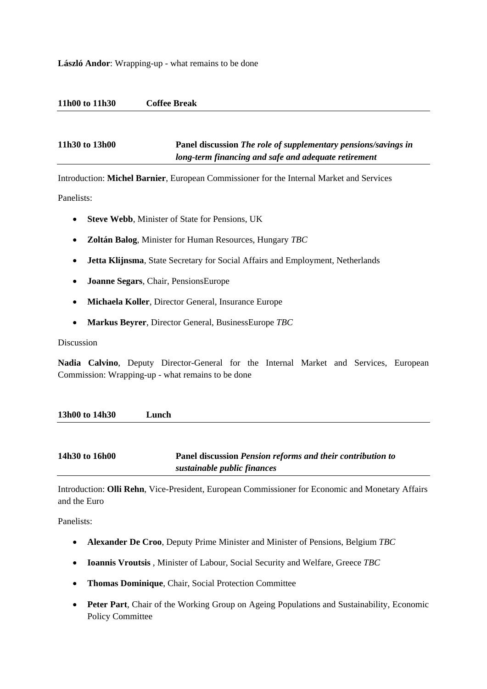#### **László Andor**: Wrapping-up - what remains to be done

#### **11h00 to 11h30 Coffee Break**

**11h30 to 13h00 Panel discussion** *The role of supplementary pensions/savings in long-term financing and safe and adequate retirement*

Introduction: **Michel Barnier**, European Commissioner for the Internal Market and Services

Panelists:

- **Steve Webb**, Minister of State for Pensions, UK
- **Zoltán Balog**, Minister for Human Resources, Hungary *TBC*
- **Jetta Klijnsma**, State Secretary for Social Affairs and Employment, Netherlands
- **Joanne Segars**, Chair, PensionsEurope
- **Michaela Koller**, Director General, Insurance Europe
- **Markus Beyrer**, Director General, BusinessEurope *TBC*

Discussion

**Nadia Calvino**, Deputy Director-General for the Internal Market and Services, European Commission: Wrapping-up - what remains to be done

| 13h00 to 14h30 | unch |
|----------------|------|
|                |      |
|                |      |

### **14h30 to 16h00 Panel discussion** *Pension reforms and their contribution to sustainable public finances*

Introduction: **Olli Rehn**, Vice-President, European Commissioner for Economic and Monetary Affairs and the Euro

Panelists:

- **Alexander De Croo**, Deputy Prime Minister and Minister of Pensions, Belgium *TBC*
- **Ioannis Vroutsis** , Minister of Labour, Social Security and Welfare, Greece *TBC*
- **Thomas Dominique**, Chair, Social Protection Committee
- **Peter Part**, Chair of the Working Group on Ageing Populations and Sustainability, Economic Policy Committee